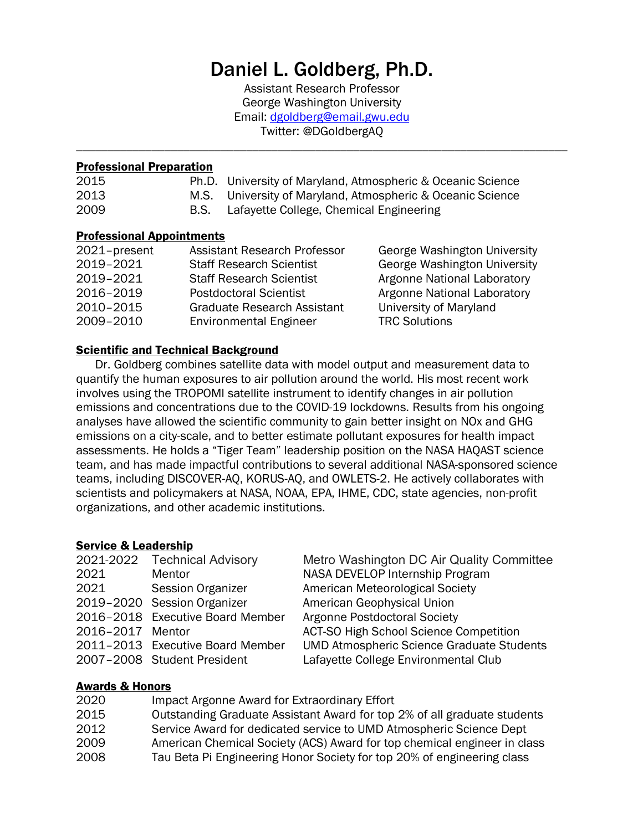# Daniel L. Goldberg, Ph.D.

Assistant Research Professor George Washington University Email: dgoldberg@email.gwu.edu Twitter: @DGoldbergAQ

\_\_\_\_\_\_\_\_\_\_\_\_\_\_\_\_\_\_\_\_\_\_\_\_\_\_\_\_\_\_\_\_\_\_\_\_\_\_\_\_\_\_\_\_\_\_\_\_\_\_\_\_\_\_\_\_\_\_\_\_\_\_\_\_\_\_\_\_\_\_\_\_\_\_\_\_\_\_

#### Professional Preparation

| 2015 |      | Ph.D. University of Maryland, Atmospheric & Oceanic Science |
|------|------|-------------------------------------------------------------|
| 2013 |      | M.S. University of Maryland, Atmospheric & Oceanic Science  |
| 2009 | B.S. | Lafayette College, Chemical Engineering                     |

#### Professional Appointments

| <b>Assistant Research Professor</b> | George Washington University |
|-------------------------------------|------------------------------|
| <b>Staff Research Scientist</b>     | George Washington University |
| <b>Staff Research Scientist</b>     | Argonne National Laboratory  |
| <b>Postdoctoral Scientist</b>       | Argonne National Laboratory  |
| <b>Graduate Research Assistant</b>  | University of Maryland       |
| <b>Environmental Engineer</b>       | <b>TRC Solutions</b>         |
|                                     |                              |

#### Scientific and Technical Background

Dr. Goldberg combines satellite data with model output and measurement data to quantify the human exposures to air pollution around the world. His most recent work involves using the TROPOMI satellite instrument to identify changes in air pollution emissions and concentrations due to the COVID-19 lockdowns. Results from his ongoing analyses have allowed the scientific community to gain better insight on NOx and GHG emissions on a city-scale, and to better estimate pollutant exposures for health impact assessments. He holds a "Tiger Team" leadership position on the NASA HAQAST science team, and has made impactful contributions to several additional NASA-sponsored science teams, including DISCOVER-AQ, KORUS-AQ, and OWLETS-2. He actively collaborates with scientists and policymakers at NASA, NOAA, EPA, IHME, CDC, state agencies, non-profit organizations, and other academic institutions.

#### Service & Leadership

|                  | 2021-2022 Technical Advisory     |
|------------------|----------------------------------|
| 2021             | Mentor                           |
| 2021             | <b>Session Organizer</b>         |
|                  | 2019-2020 Session Organizer      |
|                  | 2016-2018 Executive Board Member |
| 2016-2017 Mentor |                                  |
|                  | 2011-2013 Executive Board Member |
|                  | 2007-2008 Student President      |
|                  |                                  |

Metro Washington DC Air Quality Committee NASA DEVELOP Internship Program American Meteorological Society American Geophysical Union Argonne Postdoctoral Society ACT-SO High School Science Competition UMD Atmospheric Science Graduate Students Lafayette College Environmental Club

## Awards & Honors

| Impact Argonne Award for Extraordinary Effort                            |
|--------------------------------------------------------------------------|
| Outstanding Graduate Assistant Award for top 2% of all graduate students |
| Service Award for dedicated service to UMD Atmospheric Science Dept      |
| American Chemical Society (ACS) Award for top chemical engineer in class |
| Tau Beta Pi Engineering Honor Society for top 20% of engineering class   |
|                                                                          |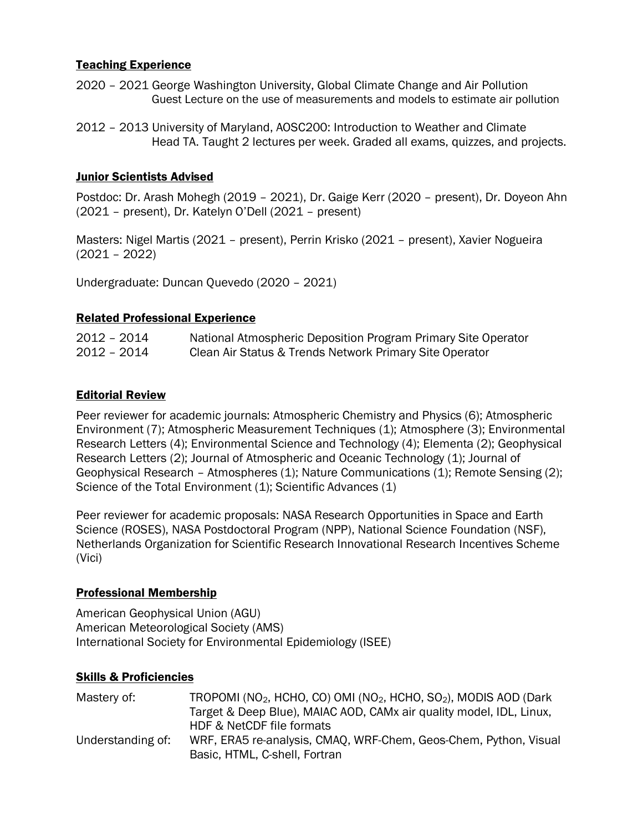## Teaching Experience

- 2020 2021 George Washington University, Global Climate Change and Air Pollution Guest Lecture on the use of measurements and models to estimate air pollution
- 2012 2013 University of Maryland, AOSC200: Introduction to Weather and Climate Head TA. Taught 2 lectures per week. Graded all exams, quizzes, and projects.

#### Junior Scientists Advised

Postdoc: Dr. Arash Mohegh (2019 – 2021), Dr. Gaige Kerr (2020 – present), Dr. Doyeon Ahn (2021 – present), Dr. Katelyn O'Dell (2021 – present)

Masters: Nigel Martis (2021 – present), Perrin Krisko (2021 – present), Xavier Nogueira (2021 – 2022)

Undergraduate: Duncan Quevedo (2020 – 2021)

## Related Professional Experience

| 2012 - 2014 | National Atmospheric Deposition Program Primary Site Operator |
|-------------|---------------------------------------------------------------|
| 2012 - 2014 | Clean Air Status & Trends Network Primary Site Operator       |

#### Editorial Review

Peer reviewer for academic journals: Atmospheric Chemistry and Physics (6); Atmospheric Environment (7); Atmospheric Measurement Techniques (1); Atmosphere (3); Environmental Research Letters (4); Environmental Science and Technology (4); Elementa (2); Geophysical Research Letters (2); Journal of Atmospheric and Oceanic Technology (1); Journal of Geophysical Research – Atmospheres (1); Nature Communications (1); Remote Sensing (2); Science of the Total Environment (1); Scientific Advances (1)

Peer reviewer for academic proposals: NASA Research Opportunities in Space and Earth Science (ROSES), NASA Postdoctoral Program (NPP), National Science Foundation (NSF), Netherlands Organization for Scientific Research Innovational Research Incentives Scheme (Vici)

#### Professional Membership

American Geophysical Union (AGU) American Meteorological Society (AMS) International Society for Environmental Epidemiology (ISEE)

#### Skills & Proficiencies

| Mastery of:       | TROPOMI (NO <sub>2</sub> , HCHO, CO) OMI (NO <sub>2</sub> , HCHO, SO <sub>2</sub> ), MODIS AOD (Dark |
|-------------------|------------------------------------------------------------------------------------------------------|
|                   | Target & Deep Blue), MAIAC AOD, CAMx air quality model, IDL, Linux,                                  |
|                   | HDF & NetCDF file formats                                                                            |
| Understanding of: | WRF, ERA5 re-analysis, CMAQ, WRF-Chem, Geos-Chem, Python, Visual                                     |
|                   | Basic, HTML, C-shell, Fortran                                                                        |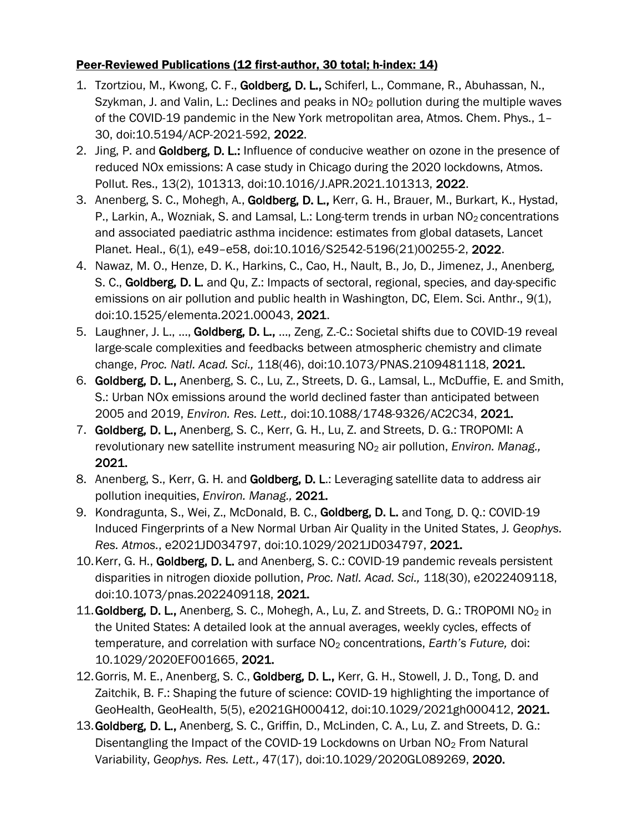## Peer-Reviewed Publications (12 first-author, 30 total; h-index: 14)

- 1. Tzortziou, M., Kwong, C. F., Goldberg, D. L., Schiferl, L., Commane, R., Abuhassan, N., Szykman, J. and Valin, L.: Declines and peaks in  $NO<sub>2</sub>$  pollution during the multiple waves of the COVID-19 pandemic in the New York metropolitan area, Atmos. Chem. Phys., 1– 30, doi:10.5194/ACP-2021-592, 2022.
- 2. Jing, P. and Goldberg, D. L.: Influence of conducive weather on ozone in the presence of reduced NOx emissions: A case study in Chicago during the 2020 lockdowns, Atmos. Pollut. Res., 13(2), 101313, doi:10.1016/J.APR.2021.101313, 2022.
- 3. Anenberg, S. C., Mohegh, A., Goldberg, D. L., Kerr, G. H., Brauer, M., Burkart, K., Hystad, P., Larkin, A., Wozniak, S. and Lamsal, L.: Long-term trends in urban NO<sub>2</sub> concentrations and associated paediatric asthma incidence: estimates from global datasets, Lancet Planet. Heal., 6(1), e49–e58, doi:10.1016/S2542-5196(21)00255-2, 2022.
- 4. Nawaz, M. O., Henze, D. K., Harkins, C., Cao, H., Nault, B., Jo, D., Jimenez, J., Anenberg, S. C., Goldberg, D. L. and Qu, Z.: Impacts of sectoral, regional, species, and day-specific emissions on air pollution and public health in Washington, DC, Elem. Sci. Anthr., 9(1), doi:10.1525/elementa.2021.00043, 2021.
- 5. Laughner, J. L., …, Goldberg, D. L., …, Zeng, Z.-C.: Societal shifts due to COVID-19 reveal large-scale complexities and feedbacks between atmospheric chemistry and climate change, *Proc. Natl. Acad. Sci.,* 118(46), doi:10.1073/PNAS.2109481118, 2021.
- 6. Goldberg, D. L., Anenberg, S. C., Lu, Z., Streets, D. G., Lamsal, L., McDuffie, E. and Smith, S.: Urban NOx emissions around the world declined faster than anticipated between 2005 and 2019, *Environ. Res. Lett.,* doi:10.1088/1748-9326/AC2C34, 2021.
- 7. Goldberg, D. L., Anenberg, S. C., Kerr, G. H., Lu, Z. and Streets, D. G.: TROPOMI: A revolutionary new satellite instrument measuring NO<sub>2</sub> air pollution, *Environ. Manag.*, 2021.
- 8. Anenberg, S., Kerr, G. H. and Goldberg, D. L.: Leveraging satellite data to address air pollution inequities, *Environ. Manag.,* 2021.
- 9. Kondragunta, S., Wei, Z., McDonald, B. C., Goldberg, D. L. and Tong, D. Q.: COVID-19 Induced Fingerprints of a New Normal Urban Air Quality in the United States, J*. Geophys. Res. Atmos.*, e2021JD034797, doi:10.1029/2021JD034797, 2021.
- 10.Kerr, G. H., Goldberg, D. L. and Anenberg, S. C.: COVID-19 pandemic reveals persistent disparities in nitrogen dioxide pollution, *Proc. Natl. Acad. Sci.,* 118(30), e2022409118, doi:10.1073/pnas.2022409118, 2021.
- 11. Goldberg, D. L., Anenberg, S. C., Mohegh, A., Lu, Z. and Streets, D. G.: TROPOMI NO<sub>2</sub> in the United States: A detailed look at the annual averages, weekly cycles, effects of temperature, and correlation with surface NO2 concentrations, *Earth's Future,* doi: 10.1029/2020EF001665, 2021.
- 12. Gorris, M. E., Anenberg, S. C., Goldberg, D. L., Kerr, G. H., Stowell, J. D., Tong, D. and Zaitchik, B. F.: Shaping the future of science: COVID-19 highlighting the importance of GeoHealth, GeoHealth, 5(5), e2021GH000412, doi:10.1029/2021gh000412, 2021.
- 13.Goldberg, D. L., Anenberg, S. C., Griffin, D., McLinden, C. A., Lu, Z. and Streets, D. G.: Disentangling the Impact of the COVID-19 Lockdowns on Urban NO<sub>2</sub> From Natural Variability, *Geophys. Res. Lett.,* 47(17), doi:10.1029/2020GL089269, 2020.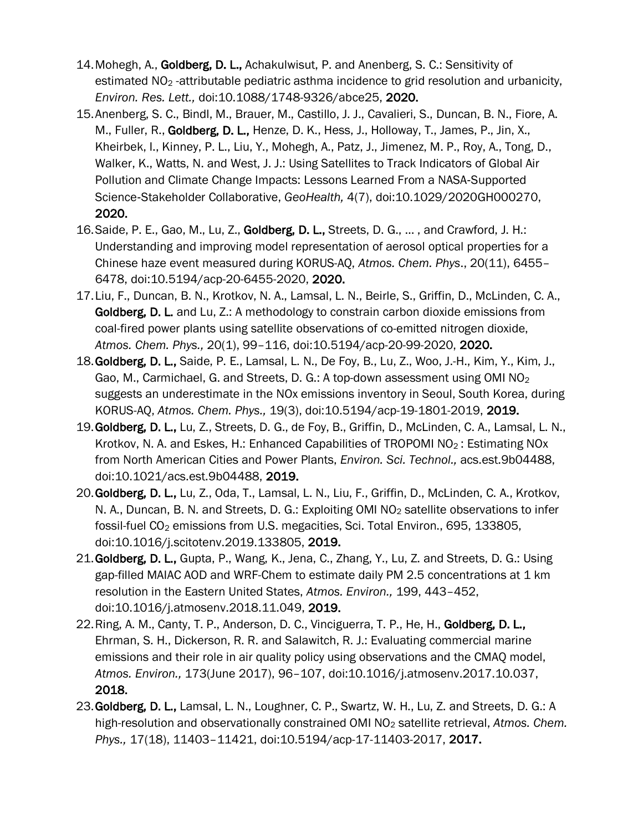- 14.Mohegh, A., Goldberg, D. L., Achakulwisut, P. and Anenberg, S. C.: Sensitivity of estimated NO<sub>2</sub>-attributable pediatric asthma incidence to grid resolution and urbanicity, *Environ. Res. Lett.,* doi:10.1088/1748-9326/abce25, 2020.
- 15.Anenberg, S. C., Bindl, M., Brauer, M., Castillo, J. J., Cavalieri, S., Duncan, B. N., Fiore, A. M., Fuller, R., Goldberg, D. L., Henze, D. K., Hess, J., Holloway, T., James, P., Jin, X., Kheirbek, I., Kinney, P. L., Liu, Y., Mohegh, A., Patz, J., Jimenez, M. P., Roy, A., Tong, D., Walker, K., Watts, N. and West, J. J.: Using Satellites to Track Indicators of Global Air Pollution and Climate Change Impacts: Lessons Learned From a NASA-Supported Science-Stakeholder Collaborative, *GeoHealth,* 4(7), doi:10.1029/2020GH000270, 2020.
- 16.Saide, P. E., Gao, M., Lu, Z., Goldberg, D. L., Streets, D. G., … , and Crawford, J. H.: Understanding and improving model representation of aerosol optical properties for a Chinese haze event measured during KORUS-AQ, *Atmos. Chem. Phys*., 20(11), 6455– 6478, doi:10.5194/acp-20-6455-2020, 2020.
- 17.Liu, F., Duncan, B. N., Krotkov, N. A., Lamsal, L. N., Beirle, S., Griffin, D., McLinden, C. A., Goldberg, D. L. and Lu, Z.: A methodology to constrain carbon dioxide emissions from coal-fired power plants using satellite observations of co-emitted nitrogen dioxide, *Atmos. Chem. Phys.,* 20(1), 99–116, doi:10.5194/acp-20-99-2020, 2020.
- 18.Goldberg, D. L., Saide, P. E., Lamsal, L. N., De Foy, B., Lu, Z., Woo, J.-H., Kim, Y., Kim, J., Gao, M., Carmichael, G. and Streets, D. G.: A top-down assessment using OMI NO<sub>2</sub> suggests an underestimate in the NOx emissions inventory in Seoul, South Korea, during KORUS-AQ, *Atmos. Chem. Phys.,* 19(3), doi:10.5194/acp-19-1801-2019, 2019.
- 19.Goldberg, D. L., Lu, Z., Streets, D. G., de Foy, B., Griffin, D., McLinden, C. A., Lamsal, L. N., Krotkov, N. A. and Eskes, H.: Enhanced Capabilities of TROPOMI NO<sub>2</sub>: Estimating NOx from North American Cities and Power Plants, *Environ. Sci. Technol.,* acs.est.9b04488, doi:10.1021/acs.est.9b04488, 2019.
- 20.Goldberg, D. L., Lu, Z., Oda, T., Lamsal, L. N., Liu, F., Griffin, D., McLinden, C. A., Krotkov, N. A., Duncan, B. N. and Streets, D. G.: Exploiting OMI NO<sub>2</sub> satellite observations to infer fossil-fuel CO<sub>2</sub> emissions from U.S. megacities, Sci. Total Environ., 695, 133805, doi:10.1016/j.scitotenv.2019.133805, 2019.
- 21. Goldberg, D. L., Gupta, P., Wang, K., Jena, C., Zhang, Y., Lu, Z. and Streets, D. G.: Using gap-filled MAIAC AOD and WRF-Chem to estimate daily PM 2.5 concentrations at 1 km resolution in the Eastern United States, *Atmos. Environ.,* 199, 443–452, doi:10.1016/j.atmosenv.2018.11.049, 2019.
- 22.Ring, A. M., Canty, T. P., Anderson, D. C., Vinciguerra, T. P., He, H., Goldberg, D. L., Ehrman, S. H., Dickerson, R. R. and Salawitch, R. J.: Evaluating commercial marine emissions and their role in air quality policy using observations and the CMAQ model, *Atmos. Environ.,* 173(June 2017), 96–107, doi:10.1016/j.atmosenv.2017.10.037, 2018.
- 23.Goldberg, D. L., Lamsal, L. N., Loughner, C. P., Swartz, W. H., Lu, Z. and Streets, D. G.: A high-resolution and observationally constrained OMI NO2 satellite retrieval, *Atmos. Chem. Phys.,* 17(18), 11403–11421, doi:10.5194/acp-17-11403-2017, 2017.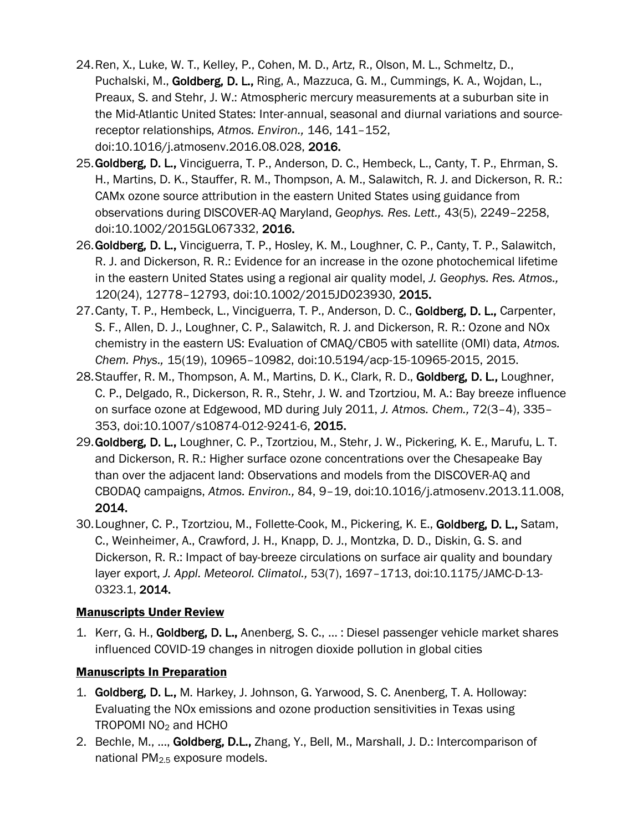- 24.Ren, X., Luke, W. T., Kelley, P., Cohen, M. D., Artz, R., Olson, M. L., Schmeltz, D., Puchalski, M., Goldberg, D. L., Ring, A., Mazzuca, G. M., Cummings, K. A., Wojdan, L., Preaux, S. and Stehr, J. W.: Atmospheric mercury measurements at a suburban site in the Mid-Atlantic United States: Inter-annual, seasonal and diurnal variations and sourcereceptor relationships, *Atmos. Environ.,* 146, 141–152, doi:10.1016/j.atmosenv.2016.08.028, 2016.
- 25.Goldberg, D. L., Vinciguerra, T. P., Anderson, D. C., Hembeck, L., Canty, T. P., Ehrman, S. H., Martins, D. K., Stauffer, R. M., Thompson, A. M., Salawitch, R. J. and Dickerson, R. R.: CAMx ozone source attribution in the eastern United States using guidance from observations during DISCOVER-AQ Maryland, *Geophys. Res. Lett.,* 43(5), 2249–2258, doi:10.1002/2015GL067332, 2016.
- 26.Goldberg, D. L., Vinciguerra, T. P., Hosley, K. M., Loughner, C. P., Canty, T. P., Salawitch, R. J. and Dickerson, R. R.: Evidence for an increase in the ozone photochemical lifetime in the eastern United States using a regional air quality model, *J. Geophys. Res. Atmos.,* 120(24), 12778–12793, doi:10.1002/2015JD023930, 2015.
- 27. Canty, T. P., Hembeck, L., Vinciguerra, T. P., Anderson, D. C., Goldberg, D. L., Carpenter, S. F., Allen, D. J., Loughner, C. P., Salawitch, R. J. and Dickerson, R. R.: Ozone and NOx chemistry in the eastern US: Evaluation of CMAQ/CB05 with satellite (OMI) data, *Atmos. Chem. Phys.,* 15(19), 10965–10982, doi:10.5194/acp-15-10965-2015, 2015.
- 28.Stauffer, R. M., Thompson, A. M., Martins, D. K., Clark, R. D., Goldberg, D. L., Loughner, C. P., Delgado, R., Dickerson, R. R., Stehr, J. W. and Tzortziou, M. A.: Bay breeze influence on surface ozone at Edgewood, MD during July 2011, *J. Atmos. Chem.,* 72(3–4), 335– 353, doi:10.1007/s10874-012-9241-6, 2015.
- 29.Goldberg, D. L., Loughner, C. P., Tzortziou, M., Stehr, J. W., Pickering, K. E., Marufu, L. T. and Dickerson, R. R.: Higher surface ozone concentrations over the Chesapeake Bay than over the adjacent land: Observations and models from the DISCOVER-AQ and CBODAQ campaigns, *Atmos. Environ.,* 84, 9–19, doi:10.1016/j.atmosenv.2013.11.008, 2014.
- 30.Loughner, C. P., Tzortziou, M., Follette-Cook, M., Pickering, K. E., Goldberg, D. L., Satam, C., Weinheimer, A., Crawford, J. H., Knapp, D. J., Montzka, D. D., Diskin, G. S. and Dickerson, R. R.: Impact of bay-breeze circulations on surface air quality and boundary layer export, *J. Appl. Meteorol. Climatol.,* 53(7), 1697–1713, doi:10.1175/JAMC-D-13- 0323.1, 2014.

## Manuscripts Under Review

1. Kerr, G. H., Goldberg, D. L., Anenberg, S. C., ... : Diesel passenger vehicle market shares influenced COVID-19 changes in nitrogen dioxide pollution in global cities

# Manuscripts In Preparation

- 1. Goldberg, D. L., M. Harkey, J. Johnson, G. Yarwood, S. C. Anenberg, T. A. Holloway: Evaluating the NOx emissions and ozone production sensitivities in Texas using TROPOMI NO2 and HCHO
- 2. Bechle, M., …, Goldberg, D.L., Zhang, Y., Bell, M., Marshall, J. D.: Intercomparison of national PM2.5 exposure models.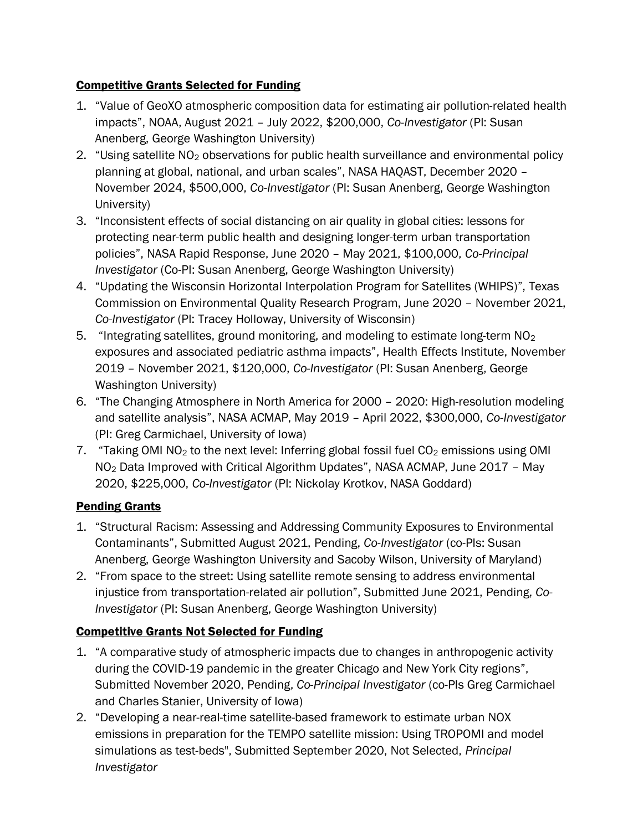## Competitive Grants Selected for Funding

- 1. "Value of GeoXO atmospheric composition data for estimating air pollution-related health impacts", NOAA, August 2021 – July 2022, \$200,000, *Co-Investigator* (PI: Susan Anenberg, George Washington University)
- 2. "Using satellite NO<sub>2</sub> observations for public health surveillance and environmental policy planning at global, national, and urban scales", NASA HAQAST, December 2020 – November 2024, \$500,000, *Co-Investigator* (PI: Susan Anenberg, George Washington University)
- 3. "Inconsistent effects of social distancing on air quality in global cities: lessons for protecting near-term public health and designing longer-term urban transportation policies", NASA Rapid Response, June 2020 – May 2021, \$100,000, *Co-Principal Investigator* (Co-PI: Susan Anenberg, George Washington University)
- 4. "Updating the Wisconsin Horizontal Interpolation Program for Satellites (WHIPS)", Texas Commission on Environmental Quality Research Program, June 2020 – November 2021, *Co-Investigator* (PI: Tracey Holloway, University of Wisconsin)
- 5. "Integrating satellites, ground monitoring, and modeling to estimate long-term  $NO<sub>2</sub>$ exposures and associated pediatric asthma impacts", Health Effects Institute, November 2019 – November 2021, \$120,000, *Co-Investigator* (PI: Susan Anenberg, George Washington University)
- 6. "The Changing Atmosphere in North America for 2000 2020: High-resolution modeling and satellite analysis", NASA ACMAP, May 2019 – April 2022, \$300,000, *Co-Investigator*  (PI: Greg Carmichael, University of Iowa)
- 7. "Taking OMI NO<sub>2</sub> to the next level: Inferring global fossil fuel CO<sub>2</sub> emissions using OMI NO2 Data Improved with Critical Algorithm Updates", NASA ACMAP, June 2017 – May 2020, \$225,000, *Co-Investigator* (PI: Nickolay Krotkov, NASA Goddard)

# Pending Grants

- 1. "Structural Racism: Assessing and Addressing Community Exposures to Environmental Contaminants", Submitted August 2021, Pending, *Co-Investigator* (co-PIs: Susan Anenberg, George Washington University and Sacoby Wilson, University of Maryland)
- 2. "From space to the street: Using satellite remote sensing to address environmental injustice from transportation-related air pollution", Submitted June 2021, Pending, *Co-Investigator* (PI: Susan Anenberg, George Washington University)

# Competitive Grants Not Selected for Funding

- 1. "A comparative study of atmospheric impacts due to changes in anthropogenic activity during the COVID-19 pandemic in the greater Chicago and New York City regions", Submitted November 2020, Pending, *Co-Principal Investigator* (co-PIs Greg Carmichael and Charles Stanier, University of Iowa)
- 2. "Developing a near-real-time satellite-based framework to estimate urban NOX emissions in preparation for the TEMPO satellite mission: Using TROPOMI and model simulations as test-beds", Submitted September 2020, Not Selected, *Principal Investigator*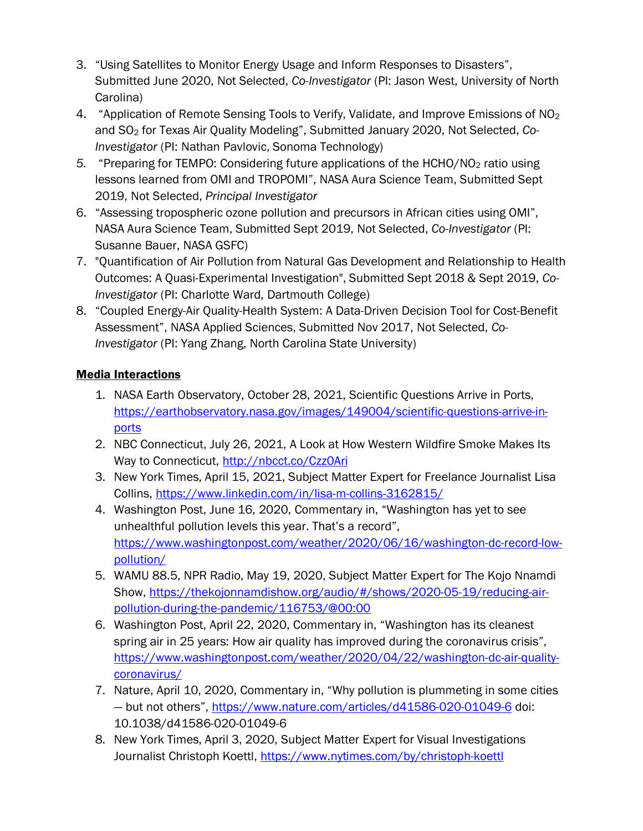- 3. "Using Satellites to Monitor Energy Usage and Inform Responses to Disasters", Submitted June 2020, Not Selected, *Co-Investigator* (PI: Jason West, University of North Carolina)
- 4. "Application of Remote Sensing Tools to Verify, Validate, and Improve Emissions of NO<sub>2</sub> and SO2 for Texas Air Quality Modeling", Submitted January 2020, Not Selected, *Co-Investigator* (PI: Nathan Pavlovic, Sonoma Technology)
- 5. "Preparing for TEMPO: Considering future applications of the HCHO/NO<sub>2</sub> ratio using lessons learned from OMI and TROPOMI", NASA Aura Science Team, Submitted Sept 2019, Not Selected, *Principal Investigator*
- 6. "Assessing tropospheric ozone pollution and precursors in African cities using OMI", NASA Aura Science Team, Submitted Sept 2019, Not Selected, *Co-Investigator* (PI: Susanne Bauer, NASA GSFC)
- 7. "Quantification of Air Pollution from Natural Gas Development and Relationship to Health Outcomes: A Quasi-Experimental Investigation", Submitted Sept 2018 & Sept 2019, *Co-Investigator* (PI: Charlotte Ward, Dartmouth College)
- 8. "Coupled Energy-Air Quality-Health System: A Data-Driven Decision Tool for Cost-Benefit Assessment", NASA Applied Sciences, Submitted Nov 2017, Not Selected, *Co-Investigator* (PI: Yang Zhang, North Carolina State University)

## Media Interactions

- 1. NASA Earth Observatory, October 28, 2021, Scientific Questions Arrive in Ports, https://earthobservatory.nasa.gov/images/149004/scientific-questions-arrive-inports
- 2. NBC Connecticut, July 26, 2021, A Look at How Western Wildfire Smoke Makes Its Way to Connecticut, http://nbcct.co/Czz0Ari
- 3. New York Times, April 15, 2021, Subject Matter Expert for Freelance Journalist Lisa Collins, https://www.linkedin.com/in/lisa-m-collins-3162815/
- 4. Washington Post, June 16, 2020, Commentary in, "Washington has yet to see unhealthful pollution levels this year. That's a record", https://www.washingtonpost.com/weather/2020/06/16/washington-dc-record-lowpollution/
- 5. WAMU 88.5, NPR Radio, May 19, 2020, Subject Matter Expert for The Kojo Nnamdi Show, https://thekojonnamdishow.org/audio/#/shows/2020-05-19/reducing-airpollution-during-the-pandemic/116753/@00:00
- 6. Washington Post, April 22, 2020, Commentary in, "Washington has its cleanest spring air in 25 years: How air quality has improved during the coronavirus crisis", https://www.washingtonpost.com/weather/2020/04/22/washington-dc-air-qualitycoronavirus/
- 7. Nature, April 10, 2020, Commentary in, "Why pollution is plummeting in some cities — but not others", https://www.nature.com/articles/d41586-020-01049-6 doi: 10.1038/d41586-020-01049-6
- 8. New York Times, April 3, 2020, Subject Matter Expert for Visual Investigations Journalist Christoph Koettl, https://www.nytimes.com/by/christoph-koettl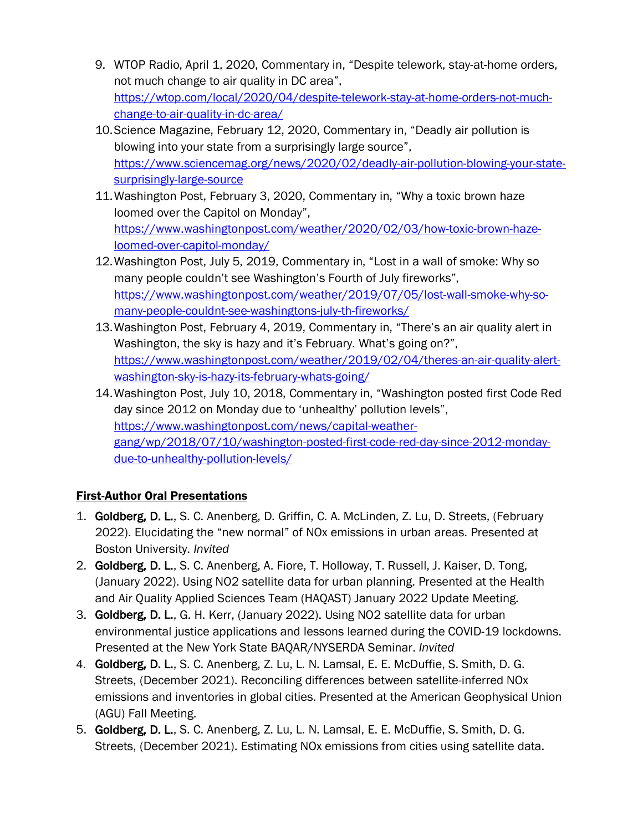- 9. WTOP Radio, April 1, 2020, Commentary in, "Despite telework, stay-at-home orders, not much change to air quality in DC area", https://wtop.com/local/2020/04/despite-telework-stay-at-home-orders-not-muchchange-to-air-quality-in-dc-area/
- 10.Science Magazine, February 12, 2020, Commentary in, "Deadly air pollution is blowing into your state from a surprisingly large source", https://www.sciencemag.org/news/2020/02/deadly-air-pollution-blowing-your-statesurprisingly-large-source
- 11.Washington Post, February 3, 2020, Commentary in, "Why a toxic brown haze loomed over the Capitol on Monday", https://www.washingtonpost.com/weather/2020/02/03/how-toxic-brown-hazeloomed-over-capitol-monday/
- 12.Washington Post, July 5, 2019, Commentary in, "Lost in a wall of smoke: Why so many people couldn't see Washington's Fourth of July fireworks", https://www.washingtonpost.com/weather/2019/07/05/lost-wall-smoke-why-somany-people-couldnt-see-washingtons-july-th-fireworks/
- 13.Washington Post, February 4, 2019, Commentary in, "There's an air quality alert in Washington, the sky is hazy and it's February. What's going on?", https://www.washingtonpost.com/weather/2019/02/04/theres-an-air-quality-alertwashington-sky-is-hazy-its-february-whats-going/
- 14.Washington Post, July 10, 2018, Commentary in, "Washington posted first Code Red day since 2012 on Monday due to 'unhealthy' pollution levels", https://www.washingtonpost.com/news/capital-weathergang/wp/2018/07/10/washington-posted-first-code-red-day-since-2012-mondaydue-to-unhealthy-pollution-levels/

# First-Author Oral Presentations

- 1. Goldberg, D. L., S. C. Anenberg, D. Griffin, C. A. McLinden, Z. Lu, D. Streets, (February 2022). Elucidating the "new normal" of NOx emissions in urban areas. Presented at Boston University. *Invited*
- 2. Goldberg, D. L., S. C. Anenberg, A. Fiore, T. Holloway, T. Russell, J. Kaiser, D. Tong, (January 2022). Using NO2 satellite data for urban planning. Presented at the Health and Air Quality Applied Sciences Team (HAQAST) January 2022 Update Meeting.
- 3. Goldberg, D. L., G. H. Kerr, (January 2022). Using NO2 satellite data for urban environmental justice applications and lessons learned during the COVID-19 lockdowns. Presented at the New York State BAQAR/NYSERDA Seminar. *Invited*
- 4. Goldberg, D. L., S. C. Anenberg, Z. Lu, L. N. Lamsal, E. E. McDuffie, S. Smith, D. G. Streets, (December 2021). Reconciling differences between satellite-inferred NOx emissions and inventories in global cities. Presented at the American Geophysical Union (AGU) Fall Meeting.
- 5. Goldberg, D. L., S. C. Anenberg, Z. Lu, L. N. Lamsal, E. E. McDuffie, S. Smith, D. G. Streets, (December 2021). Estimating NOx emissions from cities using satellite data.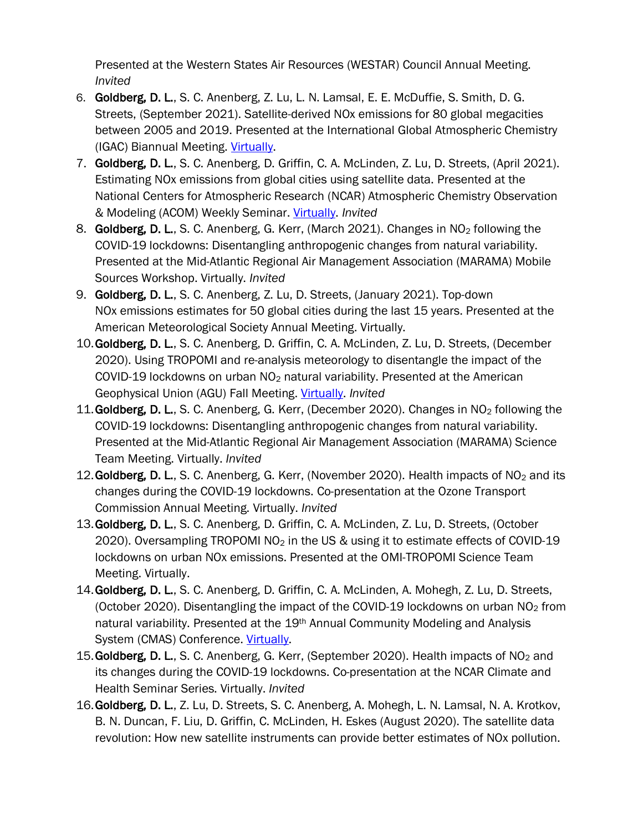Presented at the Western States Air Resources (WESTAR) Council Annual Meeting. *Invited*

- 6. Goldberg, D. L., S. C. Anenberg, Z. Lu, L. N. Lamsal, E. E. McDuffie, S. Smith, D. G. Streets, (September 2021). Satellite-derived NOx emissions for 80 global megacities between 2005 and 2019. Presented at the International Global Atmospheric Chemistry (IGAC) Biannual Meeting. Virtually.
- 7. Goldberg, D. L., S. C. Anenberg, D. Griffin, C. A. McLinden, Z. Lu, D. Streets, (April 2021). Estimating NOx emissions from global cities using satellite data. Presented at the National Centers for Atmospheric Research (NCAR) Atmospheric Chemistry Observation & Modeling (ACOM) Weekly Seminar. Virtually. *Invited*
- 8. Goldberg, D. L., S. C. Anenberg, G. Kerr, (March 2021). Changes in NO<sub>2</sub> following the COVID-19 lockdowns: Disentangling anthropogenic changes from natural variability. Presented at the Mid-Atlantic Regional Air Management Association (MARAMA) Mobile Sources Workshop. Virtually. *Invited*
- 9. Goldberg, D. L., S. C. Anenberg, Z. Lu, D. Streets, (January 2021). Top-down NOx emissions estimates for 50 global cities during the last 15 years. Presented at the American Meteorological Society Annual Meeting. Virtually.
- 10.Goldberg, D. L., S. C. Anenberg, D. Griffin, C. A. McLinden, Z. Lu, D. Streets, (December 2020). Using TROPOMI and re-analysis meteorology to disentangle the impact of the COVID-19 lockdowns on urban NO2 natural variability. Presented at the American Geophysical Union (AGU) Fall Meeting. Virtually. *Invited*
- 11. Goldberg, D. L., S. C. Anenberg, G. Kerr, (December 2020). Changes in NO<sub>2</sub> following the COVID-19 lockdowns: Disentangling anthropogenic changes from natural variability. Presented at the Mid-Atlantic Regional Air Management Association (MARAMA) Science Team Meeting. Virtually. *Invited*
- 12. Goldberg, D. L., S. C. Anenberg, G. Kerr, (November 2020). Health impacts of  $NO<sub>2</sub>$  and its changes during the COVID-19 lockdowns. Co-presentation at the Ozone Transport Commission Annual Meeting. Virtually. *Invited*
- 13.Goldberg, D. L., S. C. Anenberg, D. Griffin, C. A. McLinden, Z. Lu, D. Streets, (October 2020). Oversampling TROPOMI NO<sub>2</sub> in the US & using it to estimate effects of COVID-19 lockdowns on urban NOx emissions. Presented at the OMI-TROPOMI Science Team Meeting. Virtually.
- 14.Goldberg, D. L., S. C. Anenberg, D. Griffin, C. A. McLinden, A. Mohegh, Z. Lu, D. Streets, (October 2020). Disentangling the impact of the COVID-19 lockdowns on urban NO2 from natural variability. Presented at the 19<sup>th</sup> Annual Community Modeling and Analysis System (CMAS) Conference. Virtually.
- 15. Goldberg, D. L., S. C. Anenberg, G. Kerr, (September 2020). Health impacts of  $NO<sub>2</sub>$  and its changes during the COVID-19 lockdowns. Co-presentation at the NCAR Climate and Health Seminar Series. Virtually. *Invited*
- 16.Goldberg, D. L., Z. Lu, D. Streets, S. C. Anenberg, A. Mohegh, L. N. Lamsal, N. A. Krotkov, B. N. Duncan, F. Liu, D. Griffin, C. McLinden, H. Eskes (August 2020). The satellite data revolution: How new satellite instruments can provide better estimates of NOx pollution.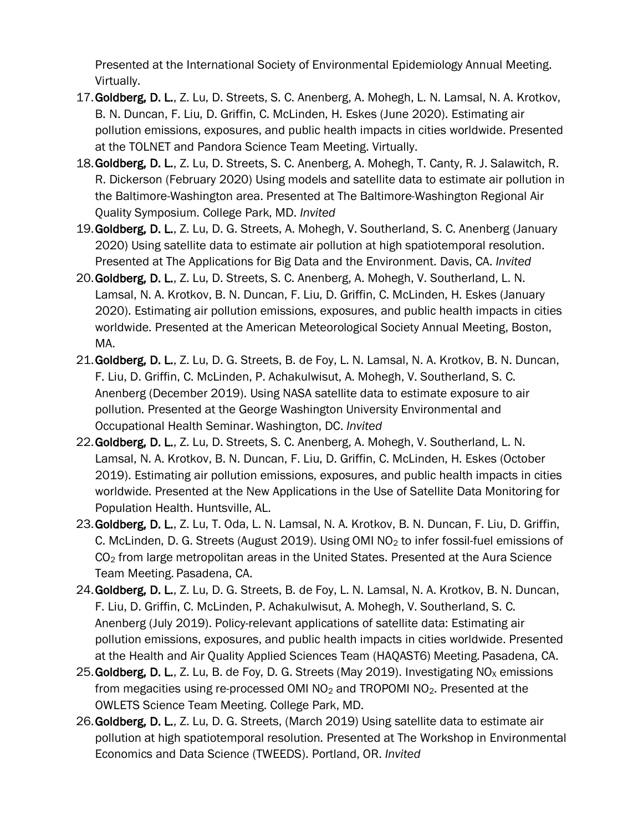Presented at the International Society of Environmental Epidemiology Annual Meeting. Virtually.

- 17. Goldberg, D. L., Z. Lu, D. Streets, S. C. Anenberg, A. Mohegh, L. N. Lamsal, N. A. Krotkov, B. N. Duncan, F. Liu, D. Griffin, C. McLinden, H. Eskes (June 2020). Estimating air pollution emissions, exposures, and public health impacts in cities worldwide. Presented at the TOLNET and Pandora Science Team Meeting. Virtually.
- 18.Goldberg, D. L., Z. Lu, D. Streets, S. C. Anenberg, A. Mohegh, T. Canty, R. J. Salawitch, R. R. Dickerson (February 2020) Using models and satellite data to estimate air pollution in the Baltimore-Washington area. Presented at The Baltimore-Washington Regional Air Quality Symposium. College Park, MD. *Invited*
- 19.Goldberg, D. L., Z. Lu, D. G. Streets, A. Mohegh, V. Southerland, S. C. Anenberg (January 2020) Using satellite data to estimate air pollution at high spatiotemporal resolution. Presented at The Applications for Big Data and the Environment. Davis, CA. *Invited*
- 20.Goldberg, D. L., Z. Lu, D. Streets, S. C. Anenberg, A. Mohegh, V. Southerland, L. N. Lamsal, N. A. Krotkov, B. N. Duncan, F. Liu, D. Griffin, C. McLinden, H. Eskes (January 2020). Estimating air pollution emissions, exposures, and public health impacts in cities worldwide. Presented at the American Meteorological Society Annual Meeting, Boston, MA.
- 21.Goldberg, D. L., Z. Lu, D. G. Streets, B. de Foy, L. N. Lamsal, N. A. Krotkov, B. N. Duncan, F. Liu, D. Griffin, C. McLinden, P. Achakulwisut, A. Mohegh, V. Southerland, S. C. Anenberg (December 2019). Using NASA satellite data to estimate exposure to air pollution. Presented at the George Washington University Environmental and Occupational Health Seminar. Washington, DC. *Invited*
- 22.Goldberg, D. L., Z. Lu, D. Streets, S. C. Anenberg, A. Mohegh, V. Southerland, L. N. Lamsal, N. A. Krotkov, B. N. Duncan, F. Liu, D. Griffin, C. McLinden, H. Eskes (October 2019). Estimating air pollution emissions, exposures, and public health impacts in cities worldwide. Presented at the New Applications in the Use of Satellite Data Monitoring for Population Health. Huntsville, AL.
- 23.Goldberg, D. L., Z. Lu, T. Oda, L. N. Lamsal, N. A. Krotkov, B. N. Duncan, F. Liu, D. Griffin, C. McLinden, D. G. Streets (August 2019). Using OMI  $NO<sub>2</sub>$  to infer fossil-fuel emissions of CO2 from large metropolitan areas in the United States. Presented at the Aura Science Team Meeting. Pasadena, CA.
- 24.Goldberg, D. L., Z. Lu, D. G. Streets, B. de Foy, L. N. Lamsal, N. A. Krotkov, B. N. Duncan, F. Liu, D. Griffin, C. McLinden, P. Achakulwisut, A. Mohegh, V. Southerland, S. C. Anenberg (July 2019). Policy-relevant applications of satellite data: Estimating air pollution emissions, exposures, and public health impacts in cities worldwide. Presented at the Health and Air Quality Applied Sciences Team (HAQAST6) Meeting. Pasadena, CA.
- 25. Goldberg, D. L., Z. Lu, B. de Foy, D. G. Streets (May 2019). Investigating  $NO<sub>x</sub>$  emissions from megacities using re-processed OMI  $NO<sub>2</sub>$  and TROPOMI  $NO<sub>2</sub>$ . Presented at the OWLETS Science Team Meeting. College Park, MD.
- 26.Goldberg, D. L., Z. Lu, D. G. Streets, (March 2019) Using satellite data to estimate air pollution at high spatiotemporal resolution. Presented at The Workshop in Environmental Economics and Data Science (TWEEDS). Portland, OR. *Invited*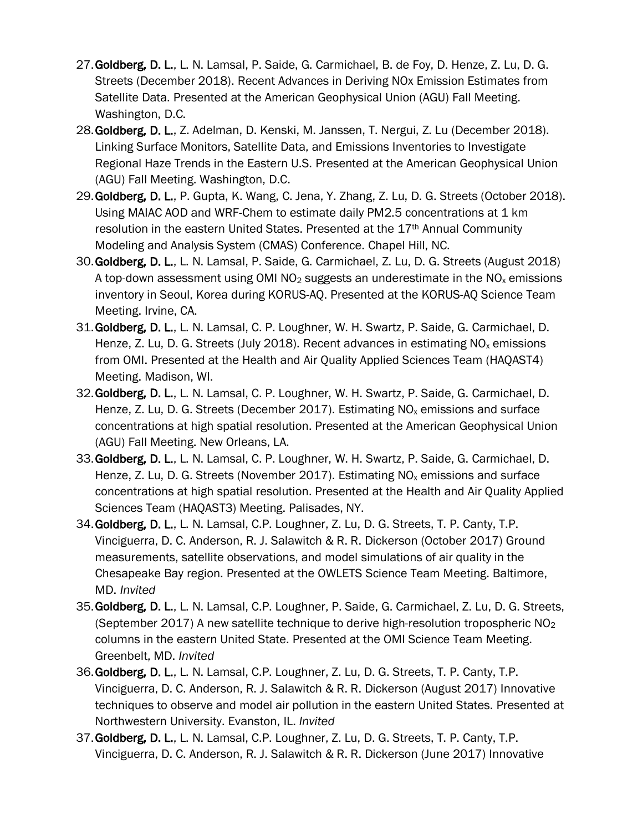- 27.Goldberg, D. L., L. N. Lamsal, P. Saide, G. Carmichael, B. de Foy, D. Henze, Z. Lu, D. G. Streets (December 2018). Recent Advances in Deriving NOx Emission Estimates from Satellite Data. Presented at the American Geophysical Union (AGU) Fall Meeting. Washington, D.C.
- 28.Goldberg, D. L., Z. Adelman, D. Kenski, M. Janssen, T. Nergui, Z. Lu (December 2018). Linking Surface Monitors, Satellite Data, and Emissions Inventories to Investigate Regional Haze Trends in the Eastern U.S. Presented at the American Geophysical Union (AGU) Fall Meeting. Washington, D.C.
- 29.Goldberg, D. L., P. Gupta, K. Wang, C. Jena, Y. Zhang, Z. Lu, D. G. Streets (October 2018). Using MAIAC AOD and WRF-Chem to estimate daily PM2.5 concentrations at 1 km resolution in the eastern United States. Presented at the 17<sup>th</sup> Annual Community Modeling and Analysis System (CMAS) Conference. Chapel Hill, NC.
- 30.Goldberg, D. L., L. N. Lamsal, P. Saide, G. Carmichael, Z. Lu, D. G. Streets (August 2018) A top-down assessment using OMI  $NO<sub>2</sub>$  suggests an underestimate in the  $NO<sub>x</sub>$  emissions inventory in Seoul, Korea during KORUS-AQ. Presented at the KORUS-AQ Science Team Meeting. Irvine, CA.
- 31.Goldberg, D. L., L. N. Lamsal, C. P. Loughner, W. H. Swartz, P. Saide, G. Carmichael, D. Henze, Z. Lu, D. G. Streets (July 2018). Recent advances in estimating  $NO<sub>x</sub>$  emissions from OMI. Presented at the Health and Air Quality Applied Sciences Team (HAQAST4) Meeting. Madison, WI.
- 32.Goldberg, D. L., L. N. Lamsal, C. P. Loughner, W. H. Swartz, P. Saide, G. Carmichael, D. Henze, Z. Lu, D. G. Streets (December 2017). Estimating  $NO<sub>x</sub>$  emissions and surface concentrations at high spatial resolution. Presented at the American Geophysical Union (AGU) Fall Meeting. New Orleans, LA.
- 33.Goldberg, D. L., L. N. Lamsal, C. P. Loughner, W. H. Swartz, P. Saide, G. Carmichael, D. Henze, Z. Lu, D. G. Streets (November 2017). Estimating  $NO<sub>x</sub>$  emissions and surface concentrations at high spatial resolution. Presented at the Health and Air Quality Applied Sciences Team (HAQAST3) Meeting. Palisades, NY.
- 34.Goldberg, D. L., L. N. Lamsal, C.P. Loughner, Z. Lu, D. G. Streets, T. P. Canty, T.P. Vinciguerra, D. C. Anderson, R. J. Salawitch & R. R. Dickerson (October 2017) Ground measurements, satellite observations, and model simulations of air quality in the Chesapeake Bay region. Presented at the OWLETS Science Team Meeting. Baltimore, MD. *Invited*
- 35.Goldberg, D. L., L. N. Lamsal, C.P. Loughner, P. Saide, G. Carmichael, Z. Lu, D. G. Streets, (September 2017) A new satellite technique to derive high-resolution tropospheric NO2 columns in the eastern United State. Presented at the OMI Science Team Meeting. Greenbelt, MD. *Invited*
- 36.Goldberg, D. L., L. N. Lamsal, C.P. Loughner, Z. Lu, D. G. Streets, T. P. Canty, T.P. Vinciguerra, D. C. Anderson, R. J. Salawitch & R. R. Dickerson (August 2017) Innovative techniques to observe and model air pollution in the eastern United States. Presented at Northwestern University. Evanston, IL. *Invited*
- 37.Goldberg, D. L., L. N. Lamsal, C.P. Loughner, Z. Lu, D. G. Streets, T. P. Canty, T.P. Vinciguerra, D. C. Anderson, R. J. Salawitch & R. R. Dickerson (June 2017) Innovative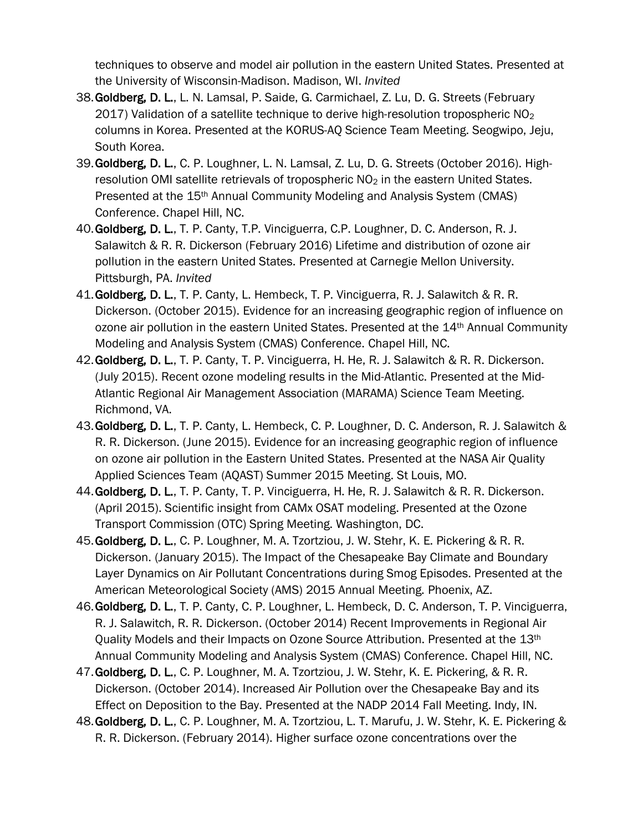techniques to observe and model air pollution in the eastern United States. Presented at the University of Wisconsin-Madison. Madison, WI. *Invited*

- 38.Goldberg, D. L., L. N. Lamsal, P. Saide, G. Carmichael, Z. Lu, D. G. Streets (February 2017) Validation of a satellite technique to derive high-resolution tropospheric  $NO<sub>2</sub>$ columns in Korea. Presented at the KORUS-AQ Science Team Meeting. Seogwipo, Jeju, South Korea.
- 39.Goldberg, D. L., C. P. Loughner, L. N. Lamsal, Z. Lu, D. G. Streets (October 2016). Highresolution OMI satellite retrievals of tropospheric  $NO<sub>2</sub>$  in the eastern United States. Presented at the 15<sup>th</sup> Annual Community Modeling and Analysis System (CMAS) Conference. Chapel Hill, NC.
- 40.Goldberg, D. L., T. P. Canty, T.P. Vinciguerra, C.P. Loughner, D. C. Anderson, R. J. Salawitch & R. R. Dickerson (February 2016) Lifetime and distribution of ozone air pollution in the eastern United States. Presented at Carnegie Mellon University. Pittsburgh, PA. *Invited*
- 41. Goldberg, D. L., T. P. Canty, L. Hembeck, T. P. Vinciguerra, R. J. Salawitch & R. R. Dickerson. (October 2015). Evidence for an increasing geographic region of influence on ozone air pollution in the eastern United States. Presented at the 14<sup>th</sup> Annual Community Modeling and Analysis System (CMAS) Conference. Chapel Hill, NC.
- 42.Goldberg, D. L., T. P. Canty, T. P. Vinciguerra, H. He, R. J. Salawitch & R. R. Dickerson. (July 2015). Recent ozone modeling results in the Mid-Atlantic. Presented at the Mid-Atlantic Regional Air Management Association (MARAMA) Science Team Meeting. Richmond, VA.
- 43.Goldberg, D. L., T. P. Canty, L. Hembeck, C. P. Loughner, D. C. Anderson, R. J. Salawitch & R. R. Dickerson. (June 2015). Evidence for an increasing geographic region of influence on ozone air pollution in the Eastern United States. Presented at the NASA Air Quality Applied Sciences Team (AQAST) Summer 2015 Meeting. St Louis, MO.
- 44. Goldberg, D. L., T. P. Canty, T. P. Vinciguerra, H. He, R. J. Salawitch & R. R. Dickerson. (April 2015). Scientific insight from CAMx OSAT modeling. Presented at the Ozone Transport Commission (OTC) Spring Meeting. Washington, DC.
- 45.Goldberg, D. L., C. P. Loughner, M. A. Tzortziou, J. W. Stehr, K. E. Pickering & R. R. Dickerson. (January 2015). The Impact of the Chesapeake Bay Climate and Boundary Layer Dynamics on Air Pollutant Concentrations during Smog Episodes. Presented at the American Meteorological Society (AMS) 2015 Annual Meeting. Phoenix, AZ.
- 46.Goldberg, D. L., T. P. Canty, C. P. Loughner, L. Hembeck, D. C. Anderson, T. P. Vinciguerra, R. J. Salawitch, R. R. Dickerson. (October 2014) Recent Improvements in Regional Air Quality Models and their Impacts on Ozone Source Attribution. Presented at the 13<sup>th</sup> Annual Community Modeling and Analysis System (CMAS) Conference. Chapel Hill, NC.
- 47.Goldberg, D. L., C. P. Loughner, M. A. Tzortziou, J. W. Stehr, K. E. Pickering, & R. R. Dickerson. (October 2014). Increased Air Pollution over the Chesapeake Bay and its Effect on Deposition to the Bay. Presented at the NADP 2014 Fall Meeting. Indy, IN.
- 48.Goldberg, D. L., C. P. Loughner, M. A. Tzortziou, L. T. Marufu, J. W. Stehr, K. E. Pickering & R. R. Dickerson. (February 2014). Higher surface ozone concentrations over the